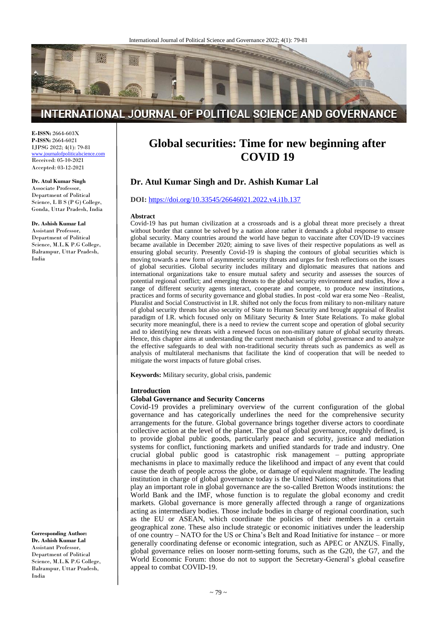

# INTERNATIONAL JOURNAL OF POLITICAL SCIENCE AND GOVERNANCE

**E-ISSN:** 2664-603X **P-ISSN:** 2664-6021 IJPSG 2022; 4(1): 79-81 [www.journalofpoliticalscience.com](http://www.journalofpoliticalscience.com/)

Received: 05-10-2021 Accepted: 03-12-2021

#### **Dr. Atul Kumar Singh**

Associate Professor, Department of Political Science, L B S (P G) College, Gonda, Uttar Pradesh, India

#### **Dr. Ashish Kumar Lal**

Assistant Professor, Department of Political Science, M.L.K P.G College, Balrampur, Uttar Pradesh, India

**Corresponding Author: Dr. Ashish Kumar Lal** Assistant Professor, Department of Political Science, M.L.K P.G College, Balrampur, Uttar Pradesh, India

# **Global securities: Time for new beginning after COVID 19**

## **Dr. Atul Kumar Singh and Dr. Ashish Kumar Lal**

#### **DOI:** <https://doi.org/10.33545/26646021.2022.v4.i1b.137>

#### **Abstract**

Covid-19 has put human civilization at a crossroads and is a global threat more precisely a threat without border that cannot be solved by a nation alone rather it demands a global response to ensure global security. Many countries around the world have begun to vaccinate after COVID-19 vaccines became available in December 2020; aiming to save lives of their respective populations as well as ensuring global security. Presently Covid-19 is shaping the contours of global securities which is moving towards a new form of asymmetric security threats and urges for fresh reflections on the issues of global securities. Global security includes military and diplomatic measures that nations and international organizations take to ensure mutual safety and security and assesses the sources of potential regional conflict; and emerging threats to the global security environment and studies, How a range of different security agents interact, cooperate and compete, to produce new institutions, practices and forms of security governance and global studies. In post -cold war era some Neo –Realist, Pluralist and Social Constructivist in I.R. shifted not only the focus from military to non-military nature of global security threats but also security of State to Human Security and brought appraisal of Realist paradigm of I.R. which focused only on Military Security & Inter State Relations. To make global security more meaningful, there is a need to review the current scope and operation of global security and to identifying new threats with a renewed focus on non-military nature of global security threats. Hence, this chapter aims at understanding the current mechanism of global governance and to analyze the effective safeguards to deal with non-traditional security threats such as pandemics as well as analysis of multilateral mechanisms that facilitate the kind of cooperation that will be needed to mitigate the worst impacts of future global crises.

**Keywords:** Military security, global crisis, pandemic

#### **Introduction**

#### **Global Governance and Security Concerns**

Covid-19 provides a preliminary overview of the current configuration of the global governance and has categorically underlines the need for the comprehensive security arrangements for the future. Global governance brings together diverse actors to coordinate collective action at the level of the planet. The goal of global governance, roughly defined, is to provide global public goods, particularly peace and security, justice and mediation systems for conflict, functioning markets and unified standards for trade and industry. One crucial global public good is catastrophic risk management – putting appropriate mechanisms in place to maximally reduce the likelihood and impact of any event that could cause the death of people across the globe, or damage of equivalent magnitude. The leading institution in charge of global governance today is the United Nations; other institutions that play an important role in global governance are the so-called Bretton Woods institutions: the World Bank and the IMF, whose function is to regulate the global economy and credit markets. Global governance is more generally affected through a range of organizations acting as intermediary bodies. Those include bodies in charge of regional coordination, such as the EU or ASEAN, which coordinate the policies of their members in a certain geographical zone. These also include strategic or economic initiatives under the leadership of one country – NATO for the US or China's Belt and Road Initiative for instance – or more generally coordinating defense or economic integration, such as APEC or ANZUS. Finally, global governance relies on looser norm-setting forums, such as the G20, the G7, and the World Economic Forum: those do not to support the Secretary-General's global ceasefire appeal to combat COVID-19.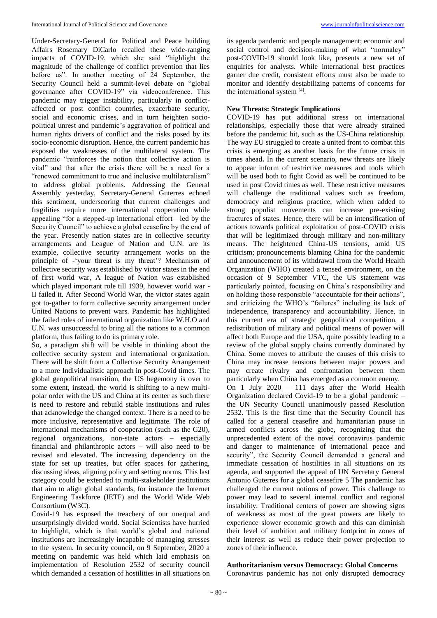Under-Secretary-General for Political and Peace building Affairs Rosemary DiCarlo recalled these wide-ranging impacts of COVID-19, which she said "highlight the magnitude of the challenge of conflict prevention that lies before us". In another meeting of 24 September, the Security Council held a summit-level debate on "global governance after COVID-19" via videoconference. This pandemic may trigger instability, particularly in conflictaffected or post conflict countries, exacerbate security, social and economic crises, and in turn heighten sociopolitical unrest and pandemic's aggravation of political and human rights drivers of conflict and the risks posed by its socio-economic disruption. Hence, the current pandemic has exposed the weaknesses of the multilateral system. The pandemic "reinforces the notion that collective action is vital" and that after the crisis there will be a need for a "renewed commitment to true and inclusive multilateralism" to address global problems. Addressing the General Assembly yesterday, Secretary-General Guterres echoed this sentiment, underscoring that current challenges and fragilities require more international cooperation while appealing "for a stepped-up international effort—led by the Security Council" to achieve a global ceasefire by the end of the year. Presently nation states are in collective security arrangements and League of Nation and U.N. are its example, collective security arrangement works on the principle of -'your threat is my threat'? Mechanism of collective security was established by victor states in the end of first world war, A league of Nation was established which played important role till 1939, however world war - II failed it. After Second World War, the victor states again got to-gather to form collective security arrangement under United Nations to prevent wars. Pandemic has highlighted the failed roles of international organization like W.H.O and U.N. was unsuccessful to bring all the nations to a common platform, thus failing to do its primary role.

So, a paradigm shift will be visible in thinking about the collective security system and international organization. There will be shift from a Collective Security Arrangement to a more Individualistic approach in post-Covid times. The global geopolitical transition, the US hegemony is over to some extent, instead, the world is shifting to a new multipolar order with the US and China at its center as such there is need to restore and rebuild stable institutions and rules that acknowledge the changed context. There is a need to be more inclusive, representative and legitimate. The role of international mechanisms of cooperation (such as the G20), regional organizations, non-state actors – especially financial and philanthropic actors – will also need to be revised and elevated. The increasing dependency on the state for set up treaties, but offer spaces for gathering, discussing ideas, aligning policy and setting norms. This last category could be extended to multi-stakeholder institutions that aim to align global standards, for instance the Internet Engineering Taskforce (IETF) and the World Wide Web Consortium (W3C).

Covid-19 has exposed the treachery of our unequal and unsurprisingly divided world. Social Scientists have hurried to highlight, which is that world's global and national institutions are increasingly incapable of managing stresses to the system. In security council, on 9 September, 2020 a meeting on pandemic was held which laid emphasis on implementation of Resolution 2532 of security council which demanded a cessation of hostilities in all situations on

its agenda pandemic and people management; economic and social control and decision-making of what "normalcy" post-COVID-19 should look like, presents a new set of enquiries for analysts. While international best practices garner due credit, consistent efforts must also be made to monitor and identify destabilizing patterns of concerns for the international system [4].

## **New Threats: Strategic Implications**

COVID-19 has put additional stress on international relationships, especially those that were already strained before the pandemic hit, such as the US-China relationship. The way EU struggled to create a united front to combat this crisis is emerging as another basis for the future crisis in times ahead**.** In the current scenario, new threats are likely to appear inform of restrictive measures and tools which will be used both to fight Covid as well be continued to be used in post Covid times as well. These restrictive measures will challenge the traditional values such as freedom, democracy and religious practice, which when added to strong populist movements can increase pre-existing fractures of states. Hence, there will be an intensification of actions towards political exploitation of post-COVID crisis that will be legitimized through military and non-military means. The heightened China-US tensions, amid US criticism; pronouncements blaming China for the pandemic and announcement of its withdrawal from the World Health Organization (WHO) created a tensed environment, on the occasion of 9 September VTC, the US statement was particularly pointed, focusing on China's responsibility and on holding those responsible "accountable for their actions", and criticizing the WHO's "failures" including its lack of independence, transparency and accountability. Hence, in this current era of strategic geopolitical competition, a redistribution of military and political means of power will affect both Europe and the USA, quite possibly leading to a review of the global supply chains currently dominated by China. Some moves to attribute the causes of this crisis to China may increase tensions between major powers and may create rivalry and confrontation between them particularly when China has emerged as a common enemy. On 1 July 2020 – 111 days after the World Health Organization declared Covid-19 to be a global pandemic – the UN Security Council unanimously passed Resolution 2532. This is the first time that the Security Council has called for a general ceasefire and humanitarian pause in armed conflicts across the globe, recognizing that the unprecedented extent of the novel coronavirus pandemic and danger to maintenance of international peace and security", the Security Council demanded a general and immediate cessation of hostilities in all situations on its agenda, and supported the appeal of UN Secretary General Antonio Guterres for a global ceasefire 5 The pandemic has challenged the current notions of power. This challenge to power may lead to several internal conflict and regional instability. Traditional centers of power are showing signs of weakness as most of the great powers are likely to experience slower economic growth and this can diminish their level of ambition and military footprint in zones of their interest as well as reduce their power projection to zones of their influence.

## **Authoritarianism versus Democracy: Global Concerns**

Coronavirus pandemic has not only disrupted democracy